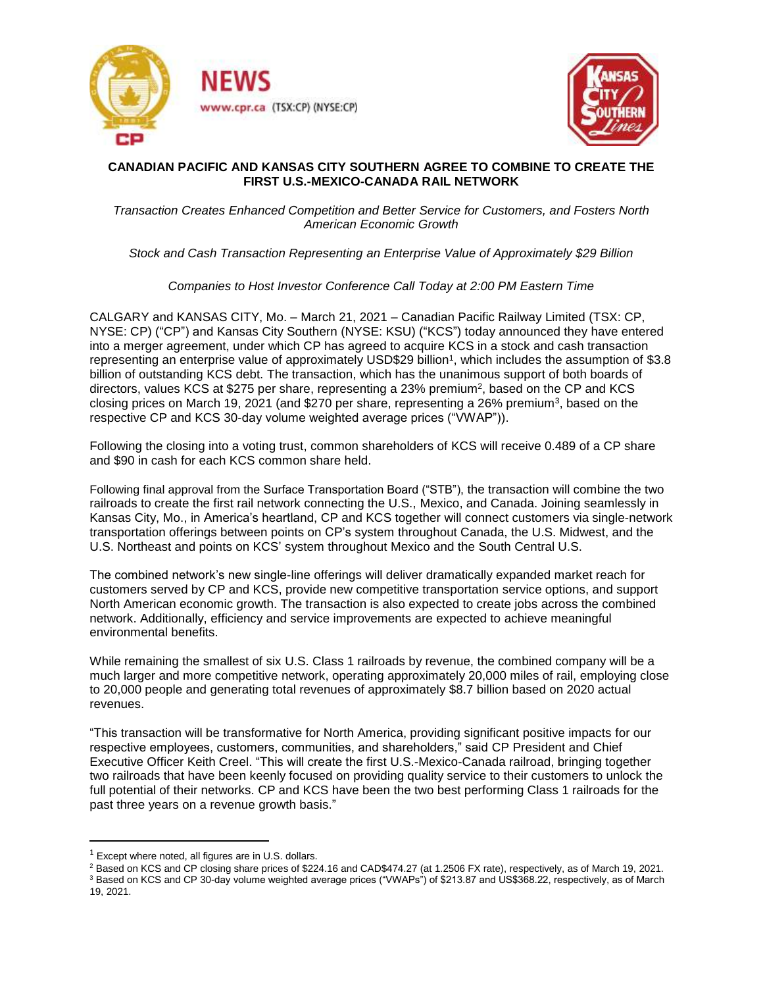



# **CANADIAN PACIFIC AND KANSAS CITY SOUTHERN AGREE TO COMBINE TO CREATE THE FIRST U.S.-MEXICO-CANADA RAIL NETWORK**

### *Transaction Creates Enhanced Competition and Better Service for Customers, and Fosters North American Economic Growth*

*Stock and Cash Transaction Representing an Enterprise Value of Approximately \$29 Billion*

*Companies to Host Investor Conference Call Today at 2:00 PM Eastern Time*

CALGARY and KANSAS CITY, Mo. – March 21, 2021 – Canadian Pacific Railway Limited (TSX: CP, NYSE: CP) ("CP") and Kansas City Southern (NYSE: KSU) ("KCS") today announced they have entered into a merger agreement, under which CP has agreed to acquire KCS in a stock and cash transaction representing an enterprise value of approximately USD\$29 billion<sup>1</sup>, which includes the assumption of \$3.8 billion of outstanding KCS debt. The transaction, which has the unanimous support of both boards of directors, values KCS at \$275 per share, representing a 23% premium<sup>2</sup>, based on the CP and KCS closing prices on March 19, 2021 (and \$270 per share, representing a 26% premium<sup>3</sup>, based on the respective CP and KCS 30-day volume weighted average prices ("VWAP")).

Following the closing into a voting trust, common shareholders of KCS will receive 0.489 of a CP share and \$90 in cash for each KCS common share held.

Following final approval from the Surface Transportation Board ("STB"), the transaction will combine the two railroads to create the first rail network connecting the U.S., Mexico, and Canada. Joining seamlessly in Kansas City, Mo., in America's heartland, CP and KCS together will connect customers via single-network transportation offerings between points on CP's system throughout Canada, the U.S. Midwest, and the U.S. Northeast and points on KCS' system throughout Mexico and the South Central U.S.

The combined network's new single-line offerings will deliver dramatically expanded market reach for customers served by CP and KCS, provide new competitive transportation service options, and support North American economic growth. The transaction is also expected to create jobs across the combined network. Additionally, efficiency and service improvements are expected to achieve meaningful environmental benefits.

While remaining the smallest of six U.S. Class 1 railroads by revenue, the combined company will be a much larger and more competitive network, operating approximately 20,000 miles of rail, employing close to 20,000 people and generating total revenues of approximately \$8.7 billion based on 2020 actual revenues.

"This transaction will be transformative for North America, providing significant positive impacts for our respective employees, customers, communities, and shareholders," said CP President and Chief Executive Officer Keith Creel. "This will create the first U.S.-Mexico-Canada railroad, bringing together two railroads that have been keenly focused on providing quality service to their customers to unlock the full potential of their networks. CP and KCS have been the two best performing Class 1 railroads for the past three years on a revenue growth basis."

l

 $1$  Except where noted, all figures are in U.S. dollars.

<sup>&</sup>lt;sup>2</sup> Based on KCS and CP closing share prices of \$224.16 and CAD\$474.27 (at 1.2506 FX rate), respectively, as of March 19, 2021.

<sup>3</sup> Based on KCS and CP 30-day volume weighted average prices ("VWAPs") of \$213.87 and US\$368.22, respectively, as of March 19, 2021.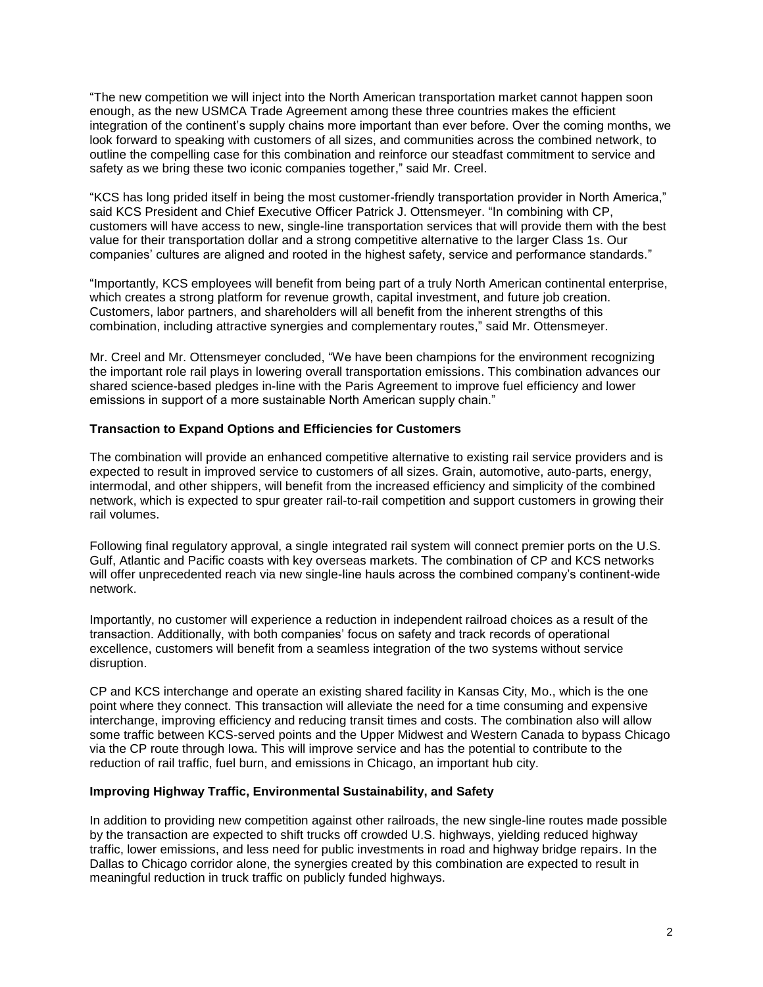"The new competition we will inject into the North American transportation market cannot happen soon enough, as the new USMCA Trade Agreement among these three countries makes the efficient integration of the continent's supply chains more important than ever before. Over the coming months, we look forward to speaking with customers of all sizes, and communities across the combined network, to outline the compelling case for this combination and reinforce our steadfast commitment to service and safety as we bring these two iconic companies together," said Mr. Creel.

"KCS has long prided itself in being the most customer-friendly transportation provider in North America," said KCS President and Chief Executive Officer Patrick J. Ottensmeyer. "In combining with CP, customers will have access to new, single-line transportation services that will provide them with the best value for their transportation dollar and a strong competitive alternative to the larger Class 1s. Our companies' cultures are aligned and rooted in the highest safety, service and performance standards."

"Importantly, KCS employees will benefit from being part of a truly North American continental enterprise, which creates a strong platform for revenue growth, capital investment, and future job creation. Customers, labor partners, and shareholders will all benefit from the inherent strengths of this combination, including attractive synergies and complementary routes," said Mr. Ottensmeyer.

Mr. Creel and Mr. Ottensmeyer concluded, "We have been champions for the environment recognizing the important role rail plays in lowering overall transportation emissions. This combination advances our shared science-based pledges in-line with the Paris Agreement to improve fuel efficiency and lower emissions in support of a more sustainable North American supply chain."

### **Transaction to Expand Options and Efficiencies for Customers**

The combination will provide an enhanced competitive alternative to existing rail service providers and is expected to result in improved service to customers of all sizes. Grain, automotive, auto-parts, energy, intermodal, and other shippers, will benefit from the increased efficiency and simplicity of the combined network, which is expected to spur greater rail-to-rail competition and support customers in growing their rail volumes.

Following final regulatory approval, a single integrated rail system will connect premier ports on the U.S. Gulf, Atlantic and Pacific coasts with key overseas markets. The combination of CP and KCS networks will offer unprecedented reach via new single-line hauls across the combined company's continent-wide network.

Importantly, no customer will experience a reduction in independent railroad choices as a result of the transaction. Additionally, with both companies' focus on safety and track records of operational excellence, customers will benefit from a seamless integration of the two systems without service disruption.

CP and KCS interchange and operate an existing shared facility in Kansas City, Mo., which is the one point where they connect. This transaction will alleviate the need for a time consuming and expensive interchange, improving efficiency and reducing transit times and costs. The combination also will allow some traffic between KCS-served points and the Upper Midwest and Western Canada to bypass Chicago via the CP route through Iowa. This will improve service and has the potential to contribute to the reduction of rail traffic, fuel burn, and emissions in Chicago, an important hub city.

### **Improving Highway Traffic, Environmental Sustainability, and Safety**

In addition to providing new competition against other railroads, the new single-line routes made possible by the transaction are expected to shift trucks off crowded U.S. highways, yielding reduced highway traffic, lower emissions, and less need for public investments in road and highway bridge repairs. In the Dallas to Chicago corridor alone, the synergies created by this combination are expected to result in meaningful reduction in truck traffic on publicly funded highways.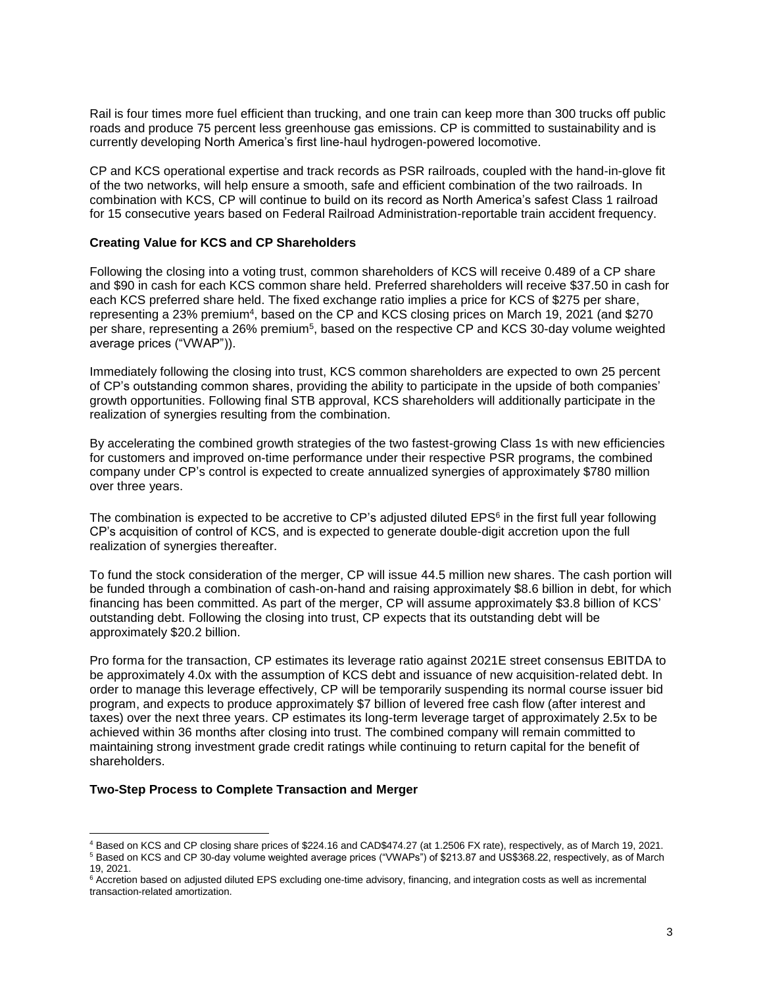Rail is four times more fuel efficient than trucking, and one train can keep more than 300 trucks off public roads and produce 75 percent less greenhouse gas emissions. CP is committed to sustainability and is currently developing North America's first line-haul hydrogen-powered locomotive.

CP and KCS operational expertise and track records as PSR railroads, coupled with the hand-in-glove fit of the two networks, will help ensure a smooth, safe and efficient combination of the two railroads. In combination with KCS, CP will continue to build on its record as North America's safest Class 1 railroad for 15 consecutive years based on Federal Railroad Administration-reportable train accident frequency.

#### **Creating Value for KCS and CP Shareholders**

Following the closing into a voting trust, common shareholders of KCS will receive 0.489 of a CP share and \$90 in cash for each KCS common share held. Preferred shareholders will receive \$37.50 in cash for each KCS preferred share held. The fixed exchange ratio implies a price for KCS of \$275 per share, representing a 23% premium<sup>4</sup>, based on the CP and KCS closing prices on March 19, 2021 (and \$270 per share, representing a 26% premium<sup>5</sup>, based on the respective CP and KCS 30-day volume weighted average prices ("VWAP")).

Immediately following the closing into trust, KCS common shareholders are expected to own 25 percent of CP's outstanding common shares, providing the ability to participate in the upside of both companies' growth opportunities. Following final STB approval, KCS shareholders will additionally participate in the realization of synergies resulting from the combination.

By accelerating the combined growth strategies of the two fastest-growing Class 1s with new efficiencies for customers and improved on-time performance under their respective PSR programs, the combined company under CP's control is expected to create annualized synergies of approximately \$780 million over three years.

The combination is expected to be accretive to CP's adjusted diluted EPS<sup>6</sup> in the first full year following CP's acquisition of control of KCS, and is expected to generate double-digit accretion upon the full realization of synergies thereafter.

To fund the stock consideration of the merger, CP will issue 44.5 million new shares. The cash portion will be funded through a combination of cash-on-hand and raising approximately \$8.6 billion in debt, for which financing has been committed. As part of the merger, CP will assume approximately \$3.8 billion of KCS' outstanding debt. Following the closing into trust, CP expects that its outstanding debt will be approximately \$20.2 billion.

Pro forma for the transaction, CP estimates its leverage ratio against 2021E street consensus EBITDA to be approximately 4.0x with the assumption of KCS debt and issuance of new acquisition-related debt. In order to manage this leverage effectively, CP will be temporarily suspending its normal course issuer bid program, and expects to produce approximately \$7 billion of levered free cash flow (after interest and taxes) over the next three years. CP estimates its long-term leverage target of approximately 2.5x to be achieved within 36 months after closing into trust. The combined company will remain committed to maintaining strong investment grade credit ratings while continuing to return capital for the benefit of shareholders.

#### **Two-Step Process to Complete Transaction and Merger**

 $\overline{a}$ 

<sup>4</sup> Based on KCS and CP closing share prices of \$224.16 and CAD\$474.27 (at 1.2506 FX rate), respectively, as of March 19, 2021. <sup>5</sup> Based on KCS and CP 30-day volume weighted average prices ("VWAPs") of \$213.87 and US\$368.22, respectively, as of March 19, 2021.

<sup>&</sup>lt;sup>6</sup> Accretion based on adjusted diluted EPS excluding one-time advisory, financing, and integration costs as well as incremental transaction-related amortization.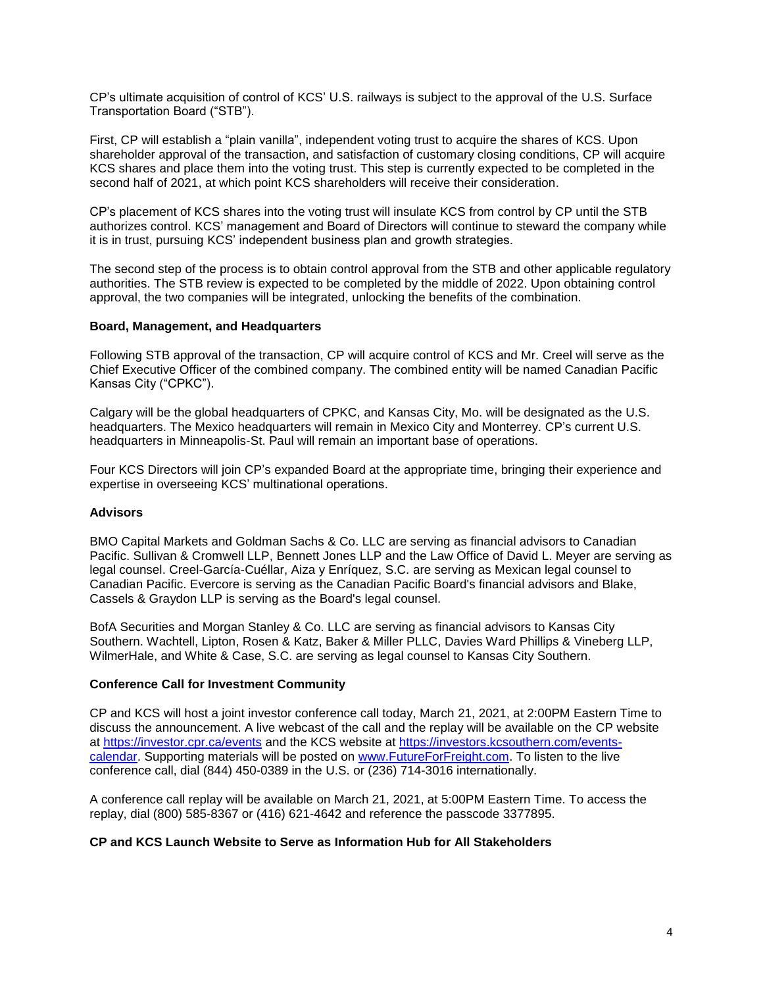CP's ultimate acquisition of control of KCS' U.S. railways is subject to the approval of the U.S. Surface Transportation Board ("STB").

First, CP will establish a "plain vanilla", independent voting trust to acquire the shares of KCS. Upon shareholder approval of the transaction, and satisfaction of customary closing conditions, CP will acquire KCS shares and place them into the voting trust. This step is currently expected to be completed in the second half of 2021, at which point KCS shareholders will receive their consideration.

CP's placement of KCS shares into the voting trust will insulate KCS from control by CP until the STB authorizes control. KCS' management and Board of Directors will continue to steward the company while it is in trust, pursuing KCS' independent business plan and growth strategies.

The second step of the process is to obtain control approval from the STB and other applicable regulatory authorities. The STB review is expected to be completed by the middle of 2022. Upon obtaining control approval, the two companies will be integrated, unlocking the benefits of the combination.

### **Board, Management, and Headquarters**

Following STB approval of the transaction, CP will acquire control of KCS and Mr. Creel will serve as the Chief Executive Officer of the combined company. The combined entity will be named Canadian Pacific Kansas City ("CPKC").

Calgary will be the global headquarters of CPKC, and Kansas City, Mo. will be designated as the U.S. headquarters. The Mexico headquarters will remain in Mexico City and Monterrey. CP's current U.S. headquarters in Minneapolis-St. Paul will remain an important base of operations.

Four KCS Directors will join CP's expanded Board at the appropriate time, bringing their experience and expertise in overseeing KCS' multinational operations.

### **Advisors**

BMO Capital Markets and Goldman Sachs & Co. LLC are serving as financial advisors to Canadian Pacific. Sullivan & Cromwell LLP, Bennett Jones LLP and the Law Office of David L. Meyer are serving as legal counsel. Creel-García-Cuéllar, Aiza y Enríquez, S.C. are serving as Mexican legal counsel to Canadian Pacific. Evercore is serving as the Canadian Pacific Board's financial advisors and Blake, Cassels & Graydon LLP is serving as the Board's legal counsel.

BofA Securities and Morgan Stanley & Co. LLC are serving as financial advisors to Kansas City Southern. Wachtell, Lipton, Rosen & Katz, Baker & Miller PLLC, Davies Ward Phillips & Vineberg LLP, WilmerHale, and White & Case, S.C. are serving as legal counsel to Kansas City Southern.

### **Conference Call for Investment Community**

CP and KCS will host a joint investor conference call today, March 21, 2021, at 2:00PM Eastern Time to discuss the announcement. A live webcast of the call and the replay will be available on the CP website at<https://investor.cpr.ca/events> and the KCS website at [https://investors.kcsouthern.com/events](https://investors.kcsouthern.com/events-calendar)[calendar.](https://investors.kcsouthern.com/events-calendar) Supporting materials will be posted on [www.FutureForFreight.com.](http://www.futureforfreight.com/) To listen to the live conference call, dial (844) 450-0389 in the U.S. or (236) 714-3016 internationally.

A conference call replay will be available on March 21, 2021, at 5:00PM Eastern Time. To access the replay, dial (800) 585-8367 or (416) 621-4642 and reference the passcode 3377895.

# **CP and KCS Launch Website to Serve as Information Hub for All Stakeholders**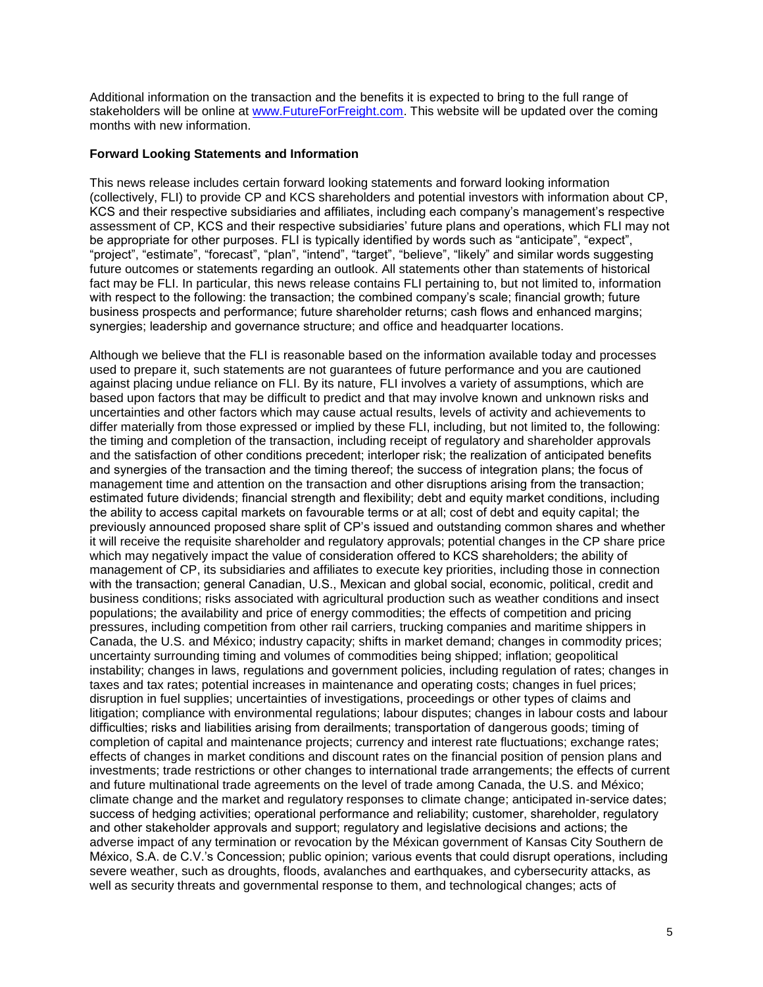Additional information on the transaction and the benefits it is expected to bring to the full range of stakeholders will be online at [www.FutureForFreight.com.](http://www.futureforfreight.com/) This website will be updated over the coming months with new information.

### **Forward Looking Statements and Information**

This news release includes certain forward looking statements and forward looking information (collectively, FLI) to provide CP and KCS shareholders and potential investors with information about CP, KCS and their respective subsidiaries and affiliates, including each company's management's respective assessment of CP, KCS and their respective subsidiaries' future plans and operations, which FLI may not be appropriate for other purposes. FLI is typically identified by words such as "anticipate", "expect", "project", "estimate", "forecast", "plan", "intend", "target", "believe", "likely" and similar words suggesting future outcomes or statements regarding an outlook. All statements other than statements of historical fact may be FLI. In particular, this news release contains FLI pertaining to, but not limited to, information with respect to the following: the transaction; the combined company's scale; financial growth; future business prospects and performance; future shareholder returns; cash flows and enhanced margins; synergies; leadership and governance structure; and office and headquarter locations.

Although we believe that the FLI is reasonable based on the information available today and processes used to prepare it, such statements are not guarantees of future performance and you are cautioned against placing undue reliance on FLI. By its nature, FLI involves a variety of assumptions, which are based upon factors that may be difficult to predict and that may involve known and unknown risks and uncertainties and other factors which may cause actual results, levels of activity and achievements to differ materially from those expressed or implied by these FLI, including, but not limited to, the following: the timing and completion of the transaction, including receipt of regulatory and shareholder approvals and the satisfaction of other conditions precedent; interloper risk; the realization of anticipated benefits and synergies of the transaction and the timing thereof; the success of integration plans; the focus of management time and attention on the transaction and other disruptions arising from the transaction; estimated future dividends; financial strength and flexibility; debt and equity market conditions, including the ability to access capital markets on favourable terms or at all; cost of debt and equity capital; the previously announced proposed share split of CP's issued and outstanding common shares and whether it will receive the requisite shareholder and regulatory approvals; potential changes in the CP share price which may negatively impact the value of consideration offered to KCS shareholders; the ability of management of CP, its subsidiaries and affiliates to execute key priorities, including those in connection with the transaction; general Canadian, U.S., Mexican and global social, economic, political, credit and business conditions; risks associated with agricultural production such as weather conditions and insect populations; the availability and price of energy commodities; the effects of competition and pricing pressures, including competition from other rail carriers, trucking companies and maritime shippers in Canada, the U.S. and México; industry capacity; shifts in market demand; changes in commodity prices; uncertainty surrounding timing and volumes of commodities being shipped; inflation; geopolitical instability; changes in laws, regulations and government policies, including regulation of rates; changes in taxes and tax rates; potential increases in maintenance and operating costs; changes in fuel prices; disruption in fuel supplies; uncertainties of investigations, proceedings or other types of claims and litigation; compliance with environmental regulations; labour disputes; changes in labour costs and labour difficulties; risks and liabilities arising from derailments; transportation of dangerous goods; timing of completion of capital and maintenance projects; currency and interest rate fluctuations; exchange rates; effects of changes in market conditions and discount rates on the financial position of pension plans and investments; trade restrictions or other changes to international trade arrangements; the effects of current and future multinational trade agreements on the level of trade among Canada, the U.S. and México; climate change and the market and regulatory responses to climate change; anticipated in-service dates; success of hedging activities; operational performance and reliability; customer, shareholder, regulatory and other stakeholder approvals and support; regulatory and legislative decisions and actions; the adverse impact of any termination or revocation by the Méxican government of Kansas City Southern de México, S.A. de C.V.'s Concession; public opinion; various events that could disrupt operations, including severe weather, such as droughts, floods, avalanches and earthquakes, and cybersecurity attacks, as well as security threats and governmental response to them, and technological changes; acts of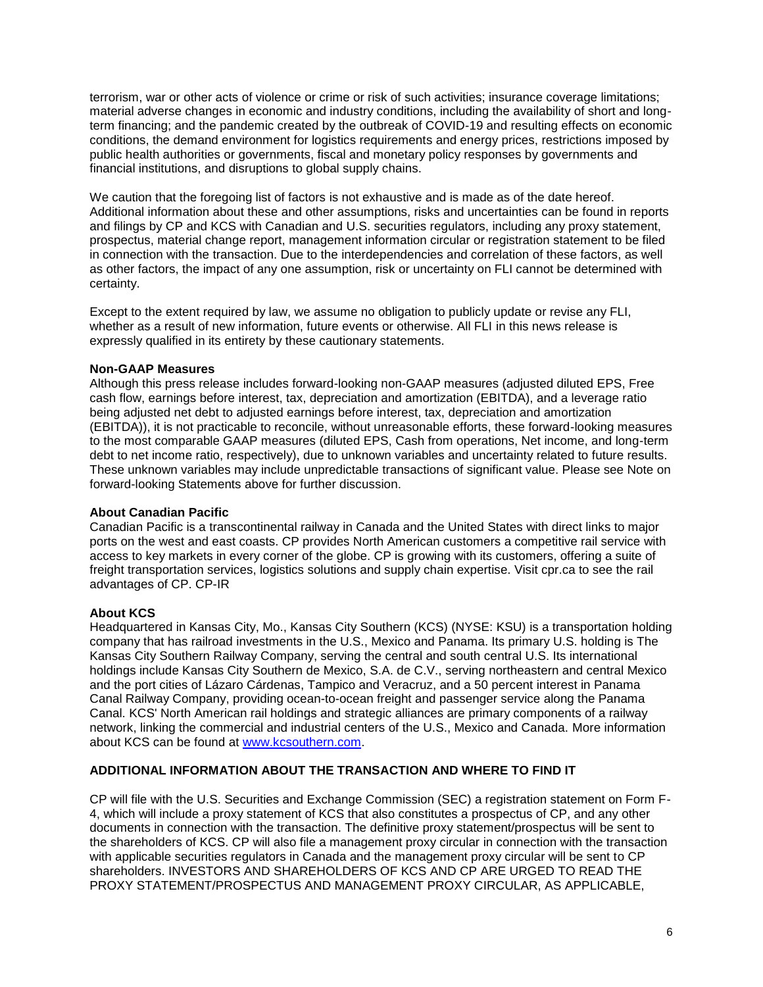terrorism, war or other acts of violence or crime or risk of such activities; insurance coverage limitations; material adverse changes in economic and industry conditions, including the availability of short and longterm financing; and the pandemic created by the outbreak of COVID-19 and resulting effects on economic conditions, the demand environment for logistics requirements and energy prices, restrictions imposed by public health authorities or governments, fiscal and monetary policy responses by governments and financial institutions, and disruptions to global supply chains.

We caution that the foregoing list of factors is not exhaustive and is made as of the date hereof. Additional information about these and other assumptions, risks and uncertainties can be found in reports and filings by CP and KCS with Canadian and U.S. securities regulators, including any proxy statement, prospectus, material change report, management information circular or registration statement to be filed in connection with the transaction. Due to the interdependencies and correlation of these factors, as well as other factors, the impact of any one assumption, risk or uncertainty on FLI cannot be determined with certainty.

Except to the extent required by law, we assume no obligation to publicly update or revise any FLI, whether as a result of new information, future events or otherwise. All FLI in this news release is expressly qualified in its entirety by these cautionary statements.

### **Non-GAAP Measures**

Although this press release includes forward-looking non-GAAP measures (adjusted diluted EPS, Free cash flow, earnings before interest, tax, depreciation and amortization (EBITDA), and a leverage ratio being adjusted net debt to adjusted earnings before interest, tax, depreciation and amortization (EBITDA)), it is not practicable to reconcile, without unreasonable efforts, these forward-looking measures to the most comparable GAAP measures (diluted EPS, Cash from operations, Net income, and long-term debt to net income ratio, respectively), due to unknown variables and uncertainty related to future results. These unknown variables may include unpredictable transactions of significant value. Please see Note on forward-looking Statements above for further discussion.

# **About Canadian Pacific**

Canadian Pacific is a transcontinental railway in Canada and the United States with direct links to major ports on the west and east coasts. CP provides North American customers a competitive rail service with access to key markets in every corner of the globe. CP is growing with its customers, offering a suite of freight transportation services, logistics solutions and supply chain expertise. Visit cpr.ca to see the rail advantages of CP. CP-IR

# **About KCS**

Headquartered in Kansas City, Mo., Kansas City Southern (KCS) (NYSE: KSU) is a transportation holding company that has railroad investments in the U.S., Mexico and Panama. Its primary U.S. holding is The Kansas City Southern Railway Company, serving the central and south central U.S. Its international holdings include Kansas City Southern de Mexico, S.A. de C.V., serving northeastern and central Mexico and the port cities of Lázaro Cárdenas, Tampico and Veracruz, and a 50 percent interest in Panama Canal Railway Company, providing ocean-to-ocean freight and passenger service along the Panama Canal. KCS' North American rail holdings and strategic alliances are primary components of a railway network, linking the commercial and industrial centers of the U.S., Mexico and Canada. More information about KCS can be found at [www.kcsouthern.com.](http://www.kcsouthern.com/)

# **ADDITIONAL INFORMATION ABOUT THE TRANSACTION AND WHERE TO FIND IT**

CP will file with the U.S. Securities and Exchange Commission (SEC) a registration statement on Form F-4, which will include a proxy statement of KCS that also constitutes a prospectus of CP, and any other documents in connection with the transaction. The definitive proxy statement/prospectus will be sent to the shareholders of KCS. CP will also file a management proxy circular in connection with the transaction with applicable securities regulators in Canada and the management proxy circular will be sent to CP shareholders. INVESTORS AND SHAREHOLDERS OF KCS AND CP ARE URGED TO READ THE PROXY STATEMENT/PROSPECTUS AND MANAGEMENT PROXY CIRCULAR, AS APPLICABLE,